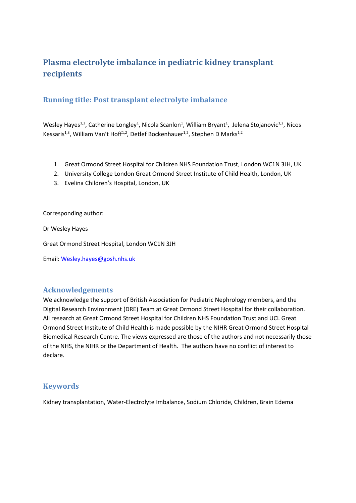# **Plasma electrolyte imbalance in pediatric kidney transplant recipients**

## **Running title: Post transplant electrolyte imbalance**

Wesley Hayes<sup>1,2</sup>, Catherine Longley<sup>1</sup>, Nicola Scanlon<sup>1</sup>, William Bryant<sup>1</sup>, Jelena Stojanovic<sup>1,2</sup>, Nicos Kessaris<sup>1,3</sup>, William Van't Hoff<sup>1,2</sup>, Detlef Bockenhauer<sup>1,2</sup>, Stephen D Marks<sup>1,2</sup>

- 1. Great Ormond Street Hospital for Children NHS Foundation Trust, London WC1N 3JH, UK
- 2. University College London Great Ormond Street Institute of Child Health, London, UK
- 3. Evelina Children's Hospital, London, UK

Corresponding author:

Dr Wesley Hayes

Great Ormond Street Hospital, London WC1N 3JH

Email: [Wesley.hayes@gosh.nhs.uk](mailto:Wesley.hayes@gosh.nhs.uk)

## **Acknowledgements**

We acknowledge the support of British Association for Pediatric Nephrology members, and the Digital Research Environment (DRE) Team at Great Ormond Street Hospital for their collaboration. All research at Great Ormond Street Hospital for Children NHS Foundation Trust and UCL Great Ormond Street Institute of Child Health is made possible by the NIHR Great Ormond Street Hospital Biomedical Research Centre. The views expressed are those of the authors and not necessarily those of the NHS, the NIHR or the Department of Health. The authors have no conflict of interest to declare.

## **Keywords**

Kidney transplantation, Water-Electrolyte Imbalance, Sodium Chloride, Children, Brain Edema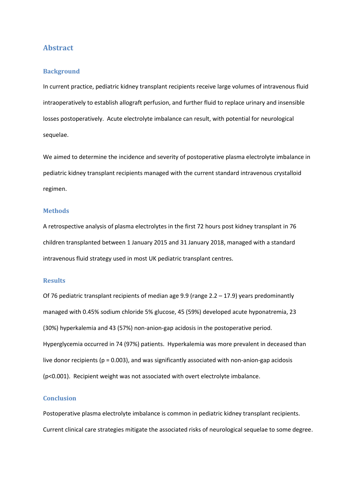### **Abstract**

### **Background**

In current practice, pediatric kidney transplant recipients receive large volumes of intravenous fluid intraoperatively to establish allograft perfusion, and further fluid to replace urinary and insensible losses postoperatively. Acute electrolyte imbalance can result, with potential for neurological sequelae.

We aimed to determine the incidence and severity of postoperative plasma electrolyte imbalance in pediatric kidney transplant recipients managed with the current standard intravenous crystalloid regimen.

#### **Methods**

A retrospective analysis of plasma electrolytes in the first 72 hours post kidney transplant in 76 children transplanted between 1 January 2015 and 31 January 2018, managed with a standard intravenous fluid strategy used in most UK pediatric transplant centres.

#### **Results**

Of 76 pediatric transplant recipients of median age 9.9 (range 2.2 – 17.9) years predominantly managed with 0.45% sodium chloride 5% glucose, 45 (59%) developed acute hyponatremia, 23 (30%) hyperkalemia and 43 (57%) non-anion-gap acidosis in the postoperative period. Hyperglycemia occurred in 74 (97%) patients. Hyperkalemia was more prevalent in deceased than live donor recipients (p = 0.003), and was significantly associated with non-anion-gap acidosis (p<0.001). Recipient weight was not associated with overt electrolyte imbalance.

#### **Conclusion**

Postoperative plasma electrolyte imbalance is common in pediatric kidney transplant recipients. Current clinical care strategies mitigate the associated risks of neurological sequelae to some degree.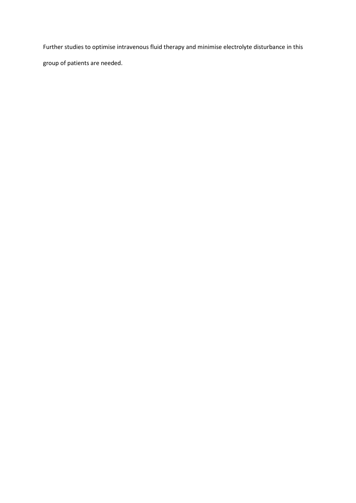Further studies to optimise intravenous fluid therapy and minimise electrolyte disturbance in this

group of patients are needed.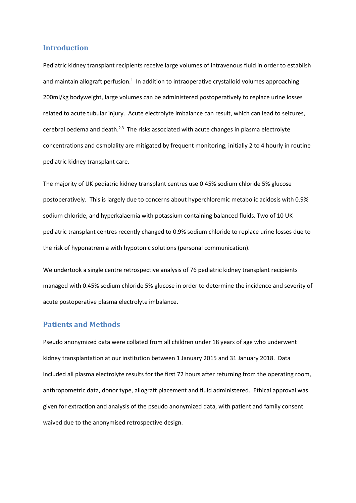### **Introduction**

Pediatric kidney transplant recipients receive large volumes of intravenous fluid in order to establish and maintain allograft perfusio[n.](#page-10-0)<sup>1</sup> In addition to intraoperative crystalloid volumes approaching 200ml/kg bodyweight, large volumes can be administered postoperatively to replace urine losses related to acute tubular injury. Acute electrolyte imbalance can result, which can lead to seizures, cerebral oedema and death.<sup>[2,](#page-10-1)[3](#page-10-2)</sup> The risks associated with acute changes in plasma electrolyte concentrations and osmolality are mitigated by frequent monitoring, initially 2 to 4 hourly in routine pediatric kidney transplant care.

The majority of UK pediatric kidney transplant centres use 0.45% sodium chloride 5% glucose postoperatively. This is largely due to concerns about hyperchloremic metabolic acidosis with 0.9% sodium chloride, and hyperkalaemia with potassium containing balanced fluids. Two of 10 UK pediatric transplant centres recently changed to 0.9% sodium chloride to replace urine losses due to the risk of hyponatremia with hypotonic solutions (personal communication).

We undertook a single centre retrospective analysis of 76 pediatric kidney transplant recipients managed with 0.45% sodium chloride 5% glucose in order to determine the incidence and severity of acute postoperative plasma electrolyte imbalance.

### **Patients and Methods**

Pseudo anonymized data were collated from all children under 18 years of age who underwent kidney transplantation at our institution between 1 January 2015 and 31 January 2018. Data included all plasma electrolyte results for the first 72 hours after returning from the operating room, anthropometric data, donor type, allograft placement and fluid administered. Ethical approval was given for extraction and analysis of the pseudo anonymized data, with patient and family consent waived due to the anonymised retrospective design.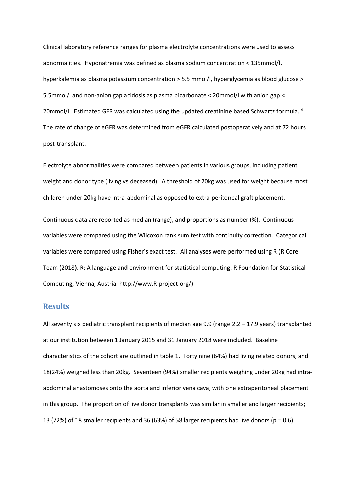Clinical laboratory reference ranges for plasma electrolyte concentrations were used to assess abnormalities. Hyponatremia was defined as plasma sodium concentration < 135mmol/l, hyperkalemia as plasma potassium concentration > 5.5 mmol/l, hyperglycemia as blood glucose > 5.5mmol/l and non-anion gap acidosis as plasma bicarbonate < 20mmol/l with anion gap < 20mmol/l.Estimated GFR was calculated using the updated creatinine based Schwartz formula. <sup>4</sup> The rate of change of eGFR was determined from eGFR calculated postoperatively and at 72 hours post-transplant.

Electrolyte abnormalities were compared between patients in various groups, including patient weight and donor type (living vs deceased). A threshold of 20kg was used for weight because most children under 20kg have intra-abdominal as opposed to extra-peritoneal graft placement.

Continuous data are reported as median (range), and proportions as number (%). Continuous variables were compared using the Wilcoxon rank sum test with continuity correction. Categorical variables were compared using Fisher's exact test. All analyses were performed using R (R Core Team (2018). R: A language and environment for statistical computing. R Foundation for Statistical Computing, Vienna, Austria. http://www.R-project.org/)

### **Results**

All seventy six pediatric transplant recipients of median age 9.9 (range 2.2 – 17.9 years) transplanted at our institution between 1 January 2015 and 31 January 2018 were included. Baseline characteristics of the cohort are outlined in table 1. Forty nine (64%) had living related donors, and 18(24%) weighed less than 20kg. Seventeen (94%) smaller recipients weighing under 20kg had intraabdominal anastomoses onto the aorta and inferior vena cava, with one extraperitoneal placement in this group. The proportion of live donor transplants was similar in smaller and larger recipients; 13 (72%) of 18 smaller recipients and 36 (63%) of 58 larger recipients had live donors ( $p = 0.6$ ).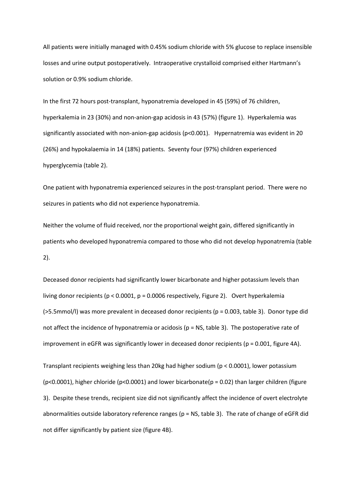All patients were initially managed with 0.45% sodium chloride with 5% glucose to replace insensible losses and urine output postoperatively. Intraoperative crystalloid comprised either Hartmann's solution or 0.9% sodium chloride.

In the first 72 hours post-transplant, hyponatremia developed in 45 (59%) of 76 children, hyperkalemia in 23 (30%) and non-anion-gap acidosis in 43 (57%) (figure 1). Hyperkalemia was significantly associated with non-anion-gap acidosis (p<0.001). Hypernatremia was evident in 20 (26%) and hypokalaemia in 14 (18%) patients. Seventy four (97%) children experienced hyperglycemia (table 2).

One patient with hyponatremia experienced seizures in the post-transplant period. There were no seizures in patients who did not experience hyponatremia.

Neither the volume of fluid received, nor the proportional weight gain, differed significantly in patients who developed hyponatremia compared to those who did not develop hyponatremia (table 2).

Deceased donor recipients had significantly lower bicarbonate and higher potassium levels than living donor recipients ( $p < 0.0001$ ,  $p = 0.0006$  respectively, Figure 2). Overt hyperkalemia (>5.5mmol/l) was more prevalent in deceased donor recipients (p = 0.003, table 3). Donor type did not affect the incidence of hyponatremia or acidosis (p = NS, table 3). The postoperative rate of improvement in eGFR was significantly lower in deceased donor recipients ( $p = 0.001$ , figure 4A).

Transplant recipients weighing less than 20kg had higher sodium (p < 0.0001), lower potassium ( $p$ <0.0001), higher chloride ( $p$ <0.0001) and lower bicarbonate( $p = 0.02$ ) than larger children (figure 3). Despite these trends, recipient size did not significantly affect the incidence of overt electrolyte abnormalities outside laboratory reference ranges (p = NS, table 3). The rate of change of eGFR did not differ significantly by patient size (figure 4B).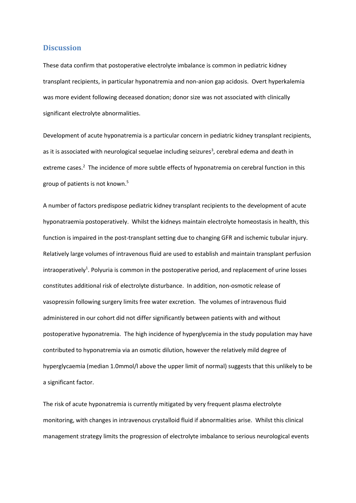### **Discussion**

These data confirm that postoperative electrolyte imbalance is common in pediatric kidney transplant recipients, in particular hyponatremia and non-anion gap acidosis. Overt hyperkalemia was more evident following deceased donation; donor size was not associated with clinically significant electrolyte abnormalities.

Development of acute hyponatremia is a particular concern in pediatric kidney transplant recipients, a[s](#page-10-2) it is associated with neurological sequelae including seizures<sup>3</sup>, cerebral edema and death in extreme case[s.](#page-10-1)<sup>2</sup> The incidence of more subtle effects of hyponatremia on cerebral function in this group of patients is not known[.](#page-10-4) 5

A number of factors predispose pediatric kidney transplant recipients to the development of acute hyponatraemia postoperatively. Whilst the kidneys maintain electrolyte homeostasis in health, this function is impaired in the post-transplant setting due to changing GFR and ischemic tubular injury. Relatively large volumes of intravenous fluid are used to establish and maintain transplant perfusion intraoperativel[y](#page-10-0)<sup>1</sup>. Polyuria is common in the postoperative period, and replacement of urine losses constitutes additional risk of electrolyte disturbance. In addition, non-osmotic release of vasopressin following surgery limits free water excretion. The volumes of intravenous fluid administered in our cohort did not differ significantly between patients with and without postoperative hyponatremia. The high incidence of hyperglycemia in the study population may have contributed to hyponatremia via an osmotic dilution, however the relatively mild degree of hyperglycaemia (median 1.0mmol/l above the upper limit of normal) suggests that this unlikely to be a significant factor.

The risk of acute hyponatremia is currently mitigated by very frequent plasma electrolyte monitoring, with changes in intravenous crystalloid fluid if abnormalities arise. Whilst this clinical management strategy limits the progression of electrolyte imbalance to serious neurological events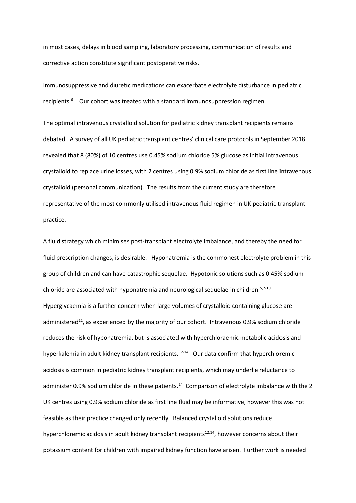in most cases, delays in blood sampling, laboratory processing, communication of results and corrective action constitute significant postoperative risks.

Immunosuppressive and diuretic medications can exacerbate electrolyte disturbance in pediatric recipients.<sup>6</sup>Our cohort was treated with a standard immunosuppression regimen.

The optimal intravenous crystalloid solution for pediatric kidney transplant recipients remains debated. A survey of all UK pediatric transplant centres' clinical care protocols in September 2018 revealed that 8 (80%) of 10 centres use 0.45% sodium chloride 5% glucose as initial intravenous crystalloid to replace urine losses, with 2 centres using 0.9% sodium chloride as first line intravenous crystalloid (personal communication). The results from the current study are therefore representative of the most commonly utilised intravenous fluid regimen in UK pediatric transplant practice.

A fluid strategy which minimises post-transplant electrolyte imbalance, and thereby the need for fluid prescription changes, is desirable. Hyponatremia is the commonest electrolyte problem in this group of children and can have catastrophic sequelae. Hypotonic solutions such as 0.45% sodium chloride are associated with hyponatremia and neurological sequelae in children.<sup>[5](#page-10-4)[,7-10](#page-10-6)</sup> Hyperglycaemia is a further concern when large volumes of crystalloid containing glucose are administered<sup>[11](#page-10-7)</sup>, as experienced by the majority of our cohort. Intravenous 0.9% sodium chloride reduces the risk of hyponatremia, but is associated with hyperchloraemic metabolic acidosis and hyperkalemia in adult kidney transplant recipients.<sup>[12-14](#page-10-8)</sup> Our data confirm that hyperchloremic acidosis is common in pediatric kidney transplant recipients, which may underlie reluctance to administer 0.9% sodium chloride in these patients.<sup>[14](#page-10-9)</sup> Comparison of electrolyte imbalance with the 2 UK centres using 0.9% sodium chloride as first line fluid may be informative, however this was not feasible as their practice changed only recently. Balanced crystalloid solutions reduce hyperchloremic acidosis in adult kidney transplant recipients<sup>[12,](#page-10-8)[14](#page-10-9)</sup>, however concerns about their potassium content for children with impaired kidney function have arisen. Further work is needed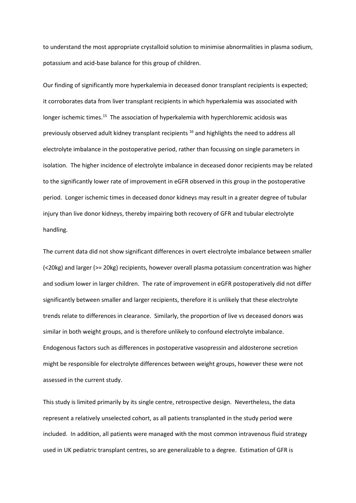to understand the most appropriate crystalloid solution to minimise abnormalities in plasma sodium, potassium and acid-base balance for this group of children.

Our finding of significantly more hyperkalemia in deceased donor transplant recipients is expected; it corroborates data from liver transplant recipients in which hyperkalemia was associated with longer ischemic times.<sup>[15](#page-10-10)</sup> The association of hyperkalemia with hyperchloremic acidosis was previously observed adult kidney transplant recipients [16](#page-10-11) and highlights the need to address all electrolyte imbalance in the postoperative period, rather than focussing on single parameters in isolation. The higher incidence of electrolyte imbalance in deceased donor recipients may be related to the significantly lower rate of improvement in eGFR observed in this group in the postoperative period. Longer ischemic times in deceased donor kidneys may result in a greater degree of tubular injury than live donor kidneys, thereby impairing both recovery of GFR and tubular electrolyte handling.

The current data did not show significant differences in overt electrolyte imbalance between smaller (<20kg) and larger (>= 20kg) recipients, however overall plasma potassium concentration was higher and sodium lower in larger children. The rate of improvement in eGFR postoperatively did not differ significantly between smaller and larger recipients, therefore it is unlikely that these electrolyte trends relate to differences in clearance. Similarly, the proportion of live vs deceased donors was similar in both weight groups, and is therefore unlikely to confound electrolyte imbalance. Endogenous factors such as differences in postoperative vasopressin and aldosterone secretion might be responsible for electrolyte differences between weight groups, however these were not assessed in the current study.

This study is limited primarily by its single centre, retrospective design. Nevertheless, the data represent a relatively unselected cohort, as all patients transplanted in the study period were included. In addition, all patients were managed with the most common intravenous fluid strategy used in UK pediatric transplant centres, so are generalizable to a degree. Estimation of GFR is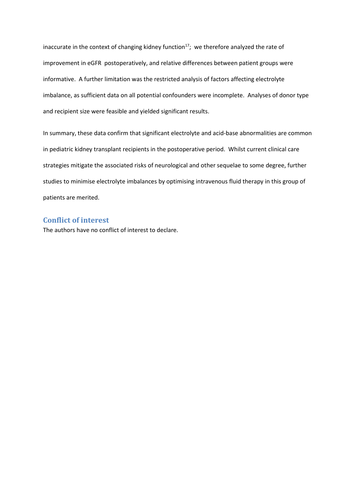inaccurate in the context of changing kidney function<sup>[17](#page-10-12)</sup>; we therefore analyzed the rate of improvement in eGFR postoperatively, and relative differences between patient groups were informative. A further limitation was the restricted analysis of factors affecting electrolyte imbalance, as sufficient data on all potential confounders were incomplete. Analyses of donor type and recipient size were feasible and yielded significant results.

In summary, these data confirm that significant electrolyte and acid-base abnormalities are common in pediatric kidney transplant recipients in the postoperative period. Whilst current clinical care strategies mitigate the associated risks of neurological and other sequelae to some degree, further studies to minimise electrolyte imbalances by optimising intravenous fluid therapy in this group of patients are merited.

### **Conflict of interest**

The authors have no conflict of interest to declare.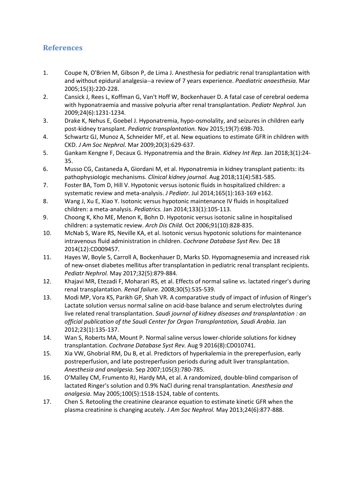## **References**

- <span id="page-10-0"></span>1. Coupe N, O'Brien M, Gibson P, de Lima J. Anesthesia for pediatric renal transplantation with and without epidural analgesia--a review of 7 years experience. *Paediatric anaesthesia.* Mar 2005;15(3):220-228.
- <span id="page-10-1"></span>2. Cansick J, Rees L, Koffman G, Van't Hoff W, Bockenhauer D. A fatal case of cerebral oedema with hyponatraemia and massive polyuria after renal transplantation. *Pediatr Nephrol.* Jun 2009;24(6):1231-1234.
- <span id="page-10-2"></span>3. Drake K, Nehus E, Goebel J. Hyponatremia, hypo-osmolality, and seizures in children early post-kidney transplant. *Pediatric transplantation.* Nov 2015;19(7):698-703.
- <span id="page-10-3"></span>4. Schwartz GJ, Munoz A, Schneider MF, et al. New equations to estimate GFR in children with CKD. *J Am Soc Nephrol.* Mar 2009;20(3):629-637.
- <span id="page-10-4"></span>5. Gankam Kengne F, Decaux G. Hyponatremia and the Brain. *Kidney Int Rep.* Jan 2018;3(1):24- 35.
- <span id="page-10-5"></span>6. Musso CG, Castaneda A, Giordani M, et al. Hyponatremia in kidney transplant patients: its pathophysiologic mechanisms. *Clinical kidney journal.* Aug 2018;11(4):581-585.
- <span id="page-10-6"></span>7. Foster BA, Tom D, Hill V. Hypotonic versus isotonic fluids in hospitalized children: a systematic review and meta-analysis. *J Pediatr.* Jul 2014;165(1):163-169 e162.
- 8. Wang J, Xu E, Xiao Y. Isotonic versus hypotonic maintenance IV fluids in hospitalized children: a meta-analysis. *Pediatrics.* Jan 2014;133(1):105-113.
- 9. Choong K, Kho ME, Menon K, Bohn D. Hypotonic versus isotonic saline in hospitalised children: a systematic review. *Arch Dis Child.* Oct 2006;91(10):828-835.
- 10. McNab S, Ware RS, Neville KA, et al. Isotonic versus hypotonic solutions for maintenance intravenous fluid administration in children. *Cochrane Database Syst Rev.* Dec 18 2014(12):CD009457.
- <span id="page-10-7"></span>11. Hayes W, Boyle S, Carroll A, Bockenhauer D, Marks SD. Hypomagnesemia and increased risk of new-onset diabetes mellitus after transplantation in pediatric renal transplant recipients. *Pediatr Nephrol.* May 2017;32(5):879-884.
- <span id="page-10-8"></span>12. Khajavi MR, Etezadi F, Moharari RS, et al. Effects of normal saline vs. lactated ringer's during renal transplantation. *Renal failure.* 2008;30(5):535-539.
- 13. Modi MP, Vora KS, Parikh GP, Shah VR. A comparative study of impact of infusion of Ringer's Lactate solution versus normal saline on acid-base balance and serum electrolytes during live related renal transplantation. *Saudi journal of kidney diseases and transplantation : an official publication of the Saudi Center for Organ Transplantation, Saudi Arabia.* Jan 2012;23(1):135-137.
- <span id="page-10-9"></span>14. Wan S, Roberts MA, Mount P. Normal saline versus lower-chloride solutions for kidney transplantation. *Cochrane Database Syst Rev.* Aug 9 2016(8):CD010741.
- <span id="page-10-10"></span>15. Xia VW, Ghobrial RM, Du B, et al. Predictors of hyperkalemia in the prereperfusion, early postreperfusion, and late postreperfusion periods during adult liver transplantation. *Anesthesia and analgesia.* Sep 2007;105(3):780-785.
- <span id="page-10-11"></span>16. O'Malley CM, Frumento RJ, Hardy MA, et al. A randomized, double-blind comparison of lactated Ringer's solution and 0.9% NaCl during renal transplantation. *Anesthesia and analgesia.* May 2005;100(5):1518-1524, table of contents.
- <span id="page-10-12"></span>17. Chen S. Retooling the creatinine clearance equation to estimate kinetic GFR when the plasma creatinine is changing acutely. *J Am Soc Nephrol.* May 2013;24(6):877-888.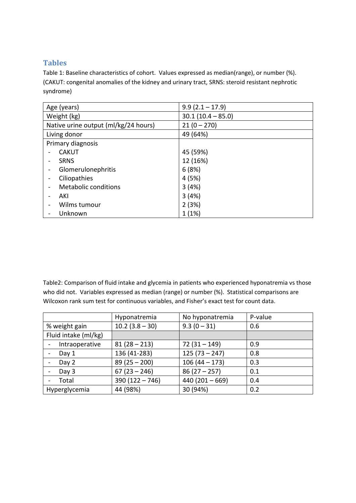## **Tables**

Table 1: Baseline characteristics of cohort. Values expressed as median(range), or number (%). (CAKUT: congenital anomalies of the kidney and urinary tract, SRNS: steroid resistant nephrotic syndrome)

| Age (years)                          | $9.9(2.1 - 17.9)$   |  |  |
|--------------------------------------|---------------------|--|--|
| Weight (kg)                          | $30.1(10.4 - 85.0)$ |  |  |
| Native urine output (ml/kg/24 hours) | $21(0 - 270)$       |  |  |
| Living donor                         | 49 (64%)            |  |  |
| Primary diagnosis                    |                     |  |  |
| <b>CAKUT</b>                         | 45 (59%)            |  |  |
| <b>SRNS</b>                          | 12 (16%)            |  |  |
| Glomerulonephritis                   | 6(8%)               |  |  |
| Ciliopathies                         | 4(5%)               |  |  |
| <b>Metabolic conditions</b>          | 3(4%)               |  |  |
| AKI                                  | 3(4%)               |  |  |
| Wilms tumour                         | 2(3%)               |  |  |
| Unknown                              | 1(1%)               |  |  |

Table2: Comparison of fluid intake and glycemia in patients who experienced hyponatremia vs those who did not. Variables expressed as median (range) or number (%). Statistical comparisons are Wilcoxon rank sum test for continuous variables, and Fisher's exact test for count data.

|                      | Hyponatremia      | No hyponatremia  | P-value |
|----------------------|-------------------|------------------|---------|
| % weight gain        | $10.2$ (3.8 – 30) | $9.3(0-31)$      | 0.6     |
| Fluid intake (ml/kg) |                   |                  |         |
| Intraoperative       | $81(28 - 213)$    | $72(31 - 149)$   | 0.9     |
| Day 1                | 136 (41-283)      | $125(73 - 247)$  | 0.8     |
| Day 2                | $89(25 - 200)$    | $106(44 - 173)$  | 0.3     |
| Day 3                | $67(23 - 246)$    | $86(27-257)$     | 0.1     |
| Total                | $390(122 - 746)$  | $440(201 - 669)$ | 0.4     |
| Hyperglycemia        | 44 (98%)          | 30 (94%)         | 0.2     |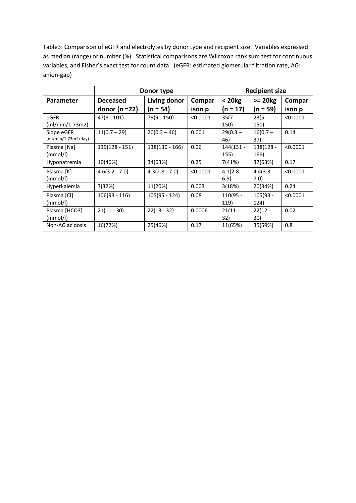Table3: Comparison of eGFR and electrolytes by donor type and recipient size. Variables expressed as median (range) or number (%). Statistical comparisons are Wilcoxon rank sum test for continuous variables, and Fisher's exact test for count data. (eGFR: estimated glomerular filtration rate, AG: anion-gap)

|                                   | Donor type         |                  |          | <b>Recipient size</b> |                     |          |
|-----------------------------------|--------------------|------------------|----------|-----------------------|---------------------|----------|
| Parameter                         | <b>Deceased</b>    | Living donor     | Compar   | < 20 kg               | $>= 20kg$           | Compar   |
|                                   | donor ( $n = 22$ ) | $(n = 54)$       | ison p   | (n = 17)              | $(n = 59)$          | ison p   |
| eGFR<br>(ml/min/1.73m2)           | $47(8 - 101)$      | 79(9 - 150)      | < 0.0001 | $35(7 -$<br>150)      | $23(5 -$<br>150)    | < 0.0001 |
| Slope eGFR<br>(ml/min/1.73m2/day) | $11(0.7 - 29)$     | $20(0.3 - 46)$   | 0.001    | $29(0.3 -$<br>46)     | $16(0.7 -$<br>37)   | 0.14     |
| Plasma [Na]<br>(mmol/l)           | 139(128 - 151)     | 138(130 - 166)   | 0.06     | 144(131 -<br>155)     | 138(128 -<br>166)   | < 0.0001 |
| Hyponatremia                      | 10(46%)            | 34(63%)          | 0.25     | 7(41%)                | 37(63%)             | 0.17     |
| Plasma [K]<br>(mmol/l)            | $4.6(3.2 - 7.0)$   | $4.3(2.8 - 7.0)$ | < 0.0001 | $4.1(2.8 -$<br>6.5)   | $4.4(3.3 -$<br>7.0) | < 0.0001 |
| Hyperkalemia                      | 7(32%)             | 11(20%)          | 0.003    | 3(18%)                | 20(34%)             | 0.24     |
| Plasma [Cl]<br>(mmol/l)           | 106(93 - 116)      | $105(95 - 124)$  | 0.08     | 110(95 -<br>119)      | $105(93 -$<br>124)  | < 0.0001 |
| Plasma [HCO3]<br>(mmol/l)         | $21(11 - 30)$      | $22(13 - 32)$    | 0.0006   | $21(11 -$<br>32)      | $22(12 -$<br>30)    | 0.02     |
| Non-AG acidosis                   | 16(72%)            | 25(46%)          | 0.17     | 11(65%)               | 35(59%)             | 0.8      |